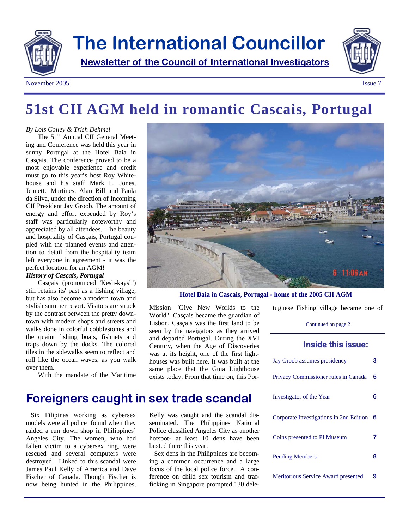

### November 2005 Issue 7

## **51st CII AGM held in romantic Cascais, Portugal**

#### *By Lois Colley & Trish Dehmel*

The 51<sup>st</sup> Annual CII General Meeting and Conference was held this year in sunny Portugal at the Hotel Baia in Casçais. The conference proved to be a most enjoyable experience and credit must go to this year's host Roy Whitehouse and his staff Mark L. Jones, Jeanette Martines, Alan Bill and Paula da Silva, under the direction of Incoming CII President Jay Groob. The amount of energy and effort expended by Roy's staff was particularly noteworthy and appreciated by all attendees. The beauty and hospitality of Casçais, Portugal coupled with the planned events and attention to detail from the hospitality team left everyone in agreement - it was the perfect location for an AGM! *History of Casçais, Portugal* 

Casçais (pronounced 'Kesh-kaysh') still retains its' past as a fishing village, but has also become a modern town and stylish summer resort. Visitors are struck by the contrast between the pretty downtown with modern shops and streets and walks done in colorful cobblestones and the quaint fishing boats, fishnets and traps down by the docks. The colored tiles in the sidewalks seem to reflect and roll like the ocean waves, as you walk over them.

With the mandate of the Maritime



**Hotel Baia in Cascais, Portugal - home of the 2005 CII AGM** 

tuguese Fishing village became one of

Continued on page 2

### **Inside this issue:**

| Jay Groob assumes presidency            | з |
|-----------------------------------------|---|
| Privacy Commissioner rules in Canada    | 5 |
| Investigator of the Year                | ห |
| Corporate Investigations in 2nd Edition | 6 |
| Coins presented to PI Museum            |   |
| <b>Pending Members</b>                  | 8 |
| Meritorious Service Award presented     |   |

### **Foreigners caught in sex trade scandal**

Six Filipinas working as cybersex models were all police found when they raided a run down shop in Philippines' Angeles City. The women, who had fallen victim to a cybersex ring, were rescued and several computers were destroyed. Linked to this scandal were James Paul Kelly of America and Dave Fischer of Canada. Though Fischer is now being hunted in the Philippines,

Kelly was caught and the scandal disseminated. The Philippines National Police classified Angeles City as another hotspot- at least 10 dens have been busted there this year.

Mission "Give New Worlds to the World", Casçais became the guardian of Lisbon. Casçais was the first land to be seen by the navigators as they arrived and departed Portugal. During the XVI Century, when the Age of Discoveries was at its height, one of the first lighthouses was built here. It was built at the same place that the Guia Lighthouse exists today. From that time on, this Por-

Sex dens in the Philippines are becoming a common occurrence and a large focus of the local police force. A conference on child sex tourism and trafficking in Singapore prompted 130 dele-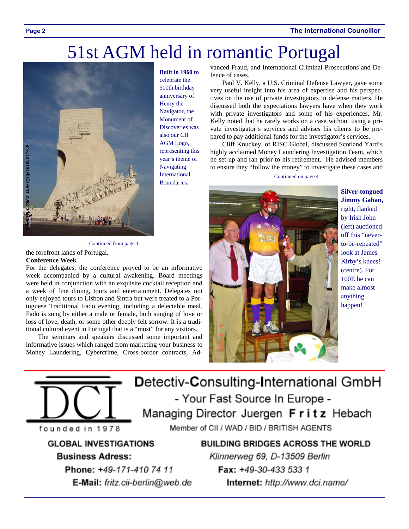#### **Page 2 The International Councillor**

## 51st AGM held in romantic Portugal



celebrate the 500th birthday anniversary of Henry the Navigator, the Monument of Discoveries was also our CII AGM Logo, representing this year's theme of **Navigating** International Boundaries.

**Built in 1960 to** 

vanced Fraud, and International Criminal Prosecutions and Defence of cases.

Paul V. Kelly, a U.S. Criminal Defense Lawyer, gave some very useful insight into his area of expertise and his perspectives on the use of private investigators in defense matters. He discussed both the expectations lawyers have when they work with private investigators and some of his experiences. Mr. Kelly noted that he rarely works on a case without using a private investigator's services and advises his clients to be prepared to pay additional funds for the investigator's services.

Cliff Knuckey, of RISC Global, discussed Scotland Yard's highly acclaimed Money Laundering Investigation Team, which he set up and ran prior to his retirement. He advised members to ensure they "follow the money" to investigate these cases and

Continued on page 4



**Silver-tongued Jimmy Gahan,** right, flanked by Irish John (left) auctioned off this "neverto-be-repeated" look at James Kirby's knees! (centre). For 100E he can make almost anything happen!

Continued from page 1

### the forefront lands of Portugal.

#### **Conference Week**

For the delegates, the conference proved to be an informative week accompanied by a cultural awakening. Board meetings were held in conjunction with an exquisite cocktail reception and a week of fine dining, tours and entertainment. Delegates not only enjoyed tours to Lisbon and Sintra but were treated to a Portuguese Traditional Fado evening, including a delectable meal. Fado is sung by either a male or female, both singing of love or loss of love, death, or some other deeply felt sorrow. It is a traditional cultural event in Portugal that is a "must" for any visitors.

The seminars and speakers discussed some important and informative issues which ranged from marketing your business to Money Laundering, Cybercrime, Cross-border contracts, Ad-



**GLOBAL INVESTIGATIONS Business Adress:** 

> Phone: +49-171-410 74 11 E-Mail: fritz.cii-berlin@web.de

**BUILDING BRIDGES ACROSS THE WORLD** 

- Your Fast Source In Europe -

Member of CII / WAD / BID / BRITISH AGENTS

Managing Director Juergen Fritz Hebach

Klinnerweg 69, D-13509 Berlin Fax: +49-30-433 533 1 Internet: http://www.dci.name/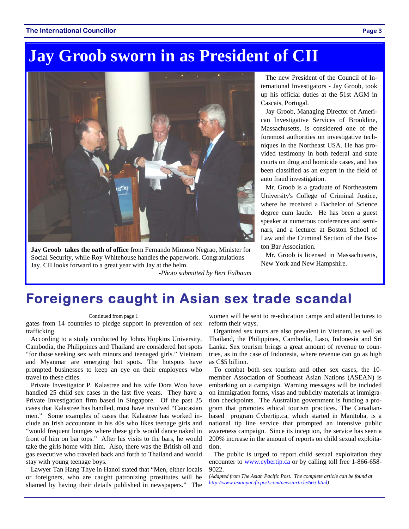## **Jay Groob sworn in as President of CII**



**Jay Groob takes the oath of office** from Fernando Mimoso Negrao, Minister for Social Security, while Roy Whitehouse handles the paperwork. Congratulations Jay. CII looks forward to a great year with Jay at the helm. *-Photo submitted by Bert Falbaum* 

The new President of the Council of International Investigators - Jay Groob, took up his official duties at the 51st AGM in Cascais, Portugal.

Jay Groob, Managing Director of American Investigative Services of Brookline, Massachusetts, is considered one of the foremost authorities on investigative techniques in the Northeast USA. He has provided testimony in both federal and state courts on drug and homicide cases, and has been classified as an expert in the field of auto fraud investigation.

Mr. Groob is a graduate of Northeastern University's College of Criminal Justice, where he received a Bachelor of Science degree cum laude. He has been a guest speaker at numerous conferences and seminars, and a lecturer at Boston School of Law and the Criminal Section of the Boston Bar Association.

Mr. Groob is licensed in Massachusetts, New York and New Hampshire.

### **Foreigners caught in Asian sex trade scandal**

#### Continued from page 1

gates from 14 countries to pledge support in prevention of sex trafficking.

According to a study conducted by Johns Hopkins University, Cambodia, the Philippines and Thailand are considered hot spots "for those seeking sex with minors and teenaged girls." Vietnam and Myanmar are emerging hot spots. The hotspots have prompted businesses to keep an eye on their employees who travel to these cities.

Private Investigator P. Kalastree and his wife Dora Woo have handled 25 child sex cases in the last five years. They have a Private Investigation firm based in Singapore. Of the past 25 cases that Kalastree has handled, most have involved "Caucasian men." Some examples of cases that Kalastree has worked include an Irish accountant in his 40s who likes teenage girls and "would frequent lounges where these girls would dance naked in front of him on bar tops." After his visits to the bars, he would take the girls home with him. Also, there was the British oil and gas executive who traveled back and forth to Thailand and would stay with young teenage boys.

Lawyer Tan Hang Thye in Hanoi stated that "Men, either locals or foreigners, who are caught patronizing prostitutes will be shamed by having their details published in newspapers." The women will be sent to re-education camps and attend lectures to reform their ways.

Organized sex tours are also prevalent in Vietnam, as well as Thailand, the Philippines, Cambodia, Laso, Indonesia and Sri Lanka. Sex tourism brings a great amount of revenue to countries, as in the case of Indonesia, where revenue can go as high as C\$5 billion.

To combat both sex tourism and other sex cases, the 10 member Association of Southeast Asian Nations (ASEAN) is embarking on a campaign. Warning messages will be included on immigration forms, visas and publicity materials at immigration checkpoints. The Australian government is funding a program that promotes ethical tourism practices. The Canadianbased program Cybertip.ca, which started in Manitoba, is a national tip line service that prompted an intensive public awareness campaign. Since its inception, the service has seen a 200% increase in the amount of reports on child sexual exploitation.

The public is urged to report child sexual exploitation they encounter to www.cybertip.ca or by calling toll free 1-866-658-9022.

*(Adapted from The Asian Pacific Post. The complete article can be found at http://www.asianpacificpost.com/news/article/663.html)*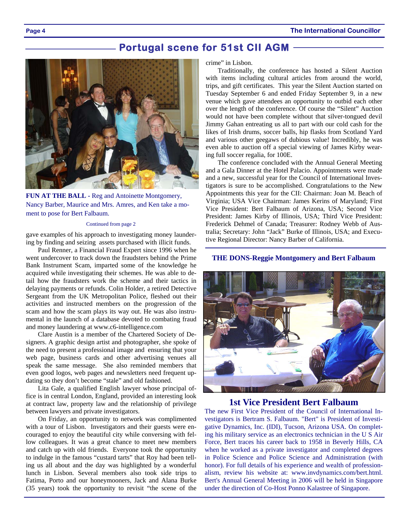**Page 4 The International Councillor** 

### **Portugal scene for 51st CII AGM**



**FUN AT THE BALL -** Reg and Antoinette Montgomery, Nancy Barber, Maurice and Mrs. Amres, and Ken take a moment to pose for Bert Falbaum.

#### Continued from page 2

gave examples of his approach to investigating money laundering by finding and seizing assets purchased with illicit funds.

Paul Renner, a Financial Fraud Expert since 1996 when he went undercover to track down the fraudsters behind the Prime Bank Instrument Scam, imparted some of the knowledge he acquired while investigating their schemes. He was able to detail how the fraudsters work the scheme and their tactics in delaying payments or refunds. Colin Holder, a retired Detective Sergeant from the UK Metropolitan Police, fleshed out their activities and instructed members on the progression of the scam and how the scam plays its way out. He was also instrumental in the launch of a database devoted to combating fraud and money laundering at www.c6-intelligence.com

Clare Austin is a member of the Chartered Society of Designers. A graphic design artist and photographer, she spoke of the need to present a professional image and ensuring that your web page, business cards and other advertising venues all speak the same message. She also reminded members that even good logos, web pages and newsletters need frequent updating so they don't become "stale" and old fashioned.

Lita Gale, a qualified English lawyer whose principal office is in central London, England, provided an interesting look at contract law, property law and the relationship of privilege between lawyers and private investigators.

On Friday, an opportunity to network was complimented with a tour of Lisbon. Investigators and their guests were encouraged to enjoy the beautiful city while conversing with fellow colleagues. It was a great chance to meet new members and catch up with old friends. Everyone took the opportunity to indulge in the famous "custard tarts" that Roy had been telling us all about and the day was highlighted by a wonderful lunch in Lisbon. Several members also took side trips to Fatima, Porto and our honeymooners, Jack and Alana Burke (35 years) took the opportunity to revisit "the scene of the

crime" in Lisbon.

Traditionally, the conference has hosted a Silent Auction with items including cultural articles from around the world, trips, and gift certificates. This year the Silent Auction started on Tuesday September 6 and ended Friday September 9, in a new venue which gave attendees an opportunity to outbid each other over the length of the conference. Of course the "Silent" Auction would not have been complete without that silver-tongued devil Jimmy Gahan entreating us all to part with our cold cash for the likes of Irish drums, soccer balls, hip flasks from Scotland Yard and various other geegaws of dubious value! Incredibly, he was even able to auction off a special viewing of James Kirby wearing full soccer regalia, for 100E.

The conference concluded with the Annual General Meeting and a Gala Dinner at the Hotel Palacio. Appointments were made and a new, successful year for the Council of International Investigators is sure to be accomplished. Congratulations to the New Appointments this year for the CII: Chairman: Joan M. Beach of Virginia; USA Vice Chairman: James Kerins of Maryland; First Vice President: Bert Falbaum of Arizona, USA; Second Vice President: James Kirby of Illinois, USA; Third Vice President: Frederick Dehmel of Canada; Treasurer: Rodney Webb of Australia; Secretary: John "Jack" Burke of Illinois, USA; and Executive Regional Director: Nancy Barber of California.

### **THE DONS-Reggie Montgomery and Bert Falbaum**



### **1st Vice President Bert Falbaum**

The new First Vice President of the Council of International Investigators is Bertram S. Falbaum. "Bert" is President of Investigative Dynamics, Inc. (IDI), Tucson, Arizona USA. On completing his military service as an electronics technician in the U S Air Force, Bert traces his career back to 1958 in Beverly Hills, CA when he worked as a private investigator and completed degrees in Police Science and Police Science and Administration (with honor). For full details of his experience and wealth of professionalism, review his website at: www.invdynamics.com/bert.html. Bert's Annual General Meeting in 2006 will be held in Singapore under the direction of Co-Host Ponno Kalastree of Singapore.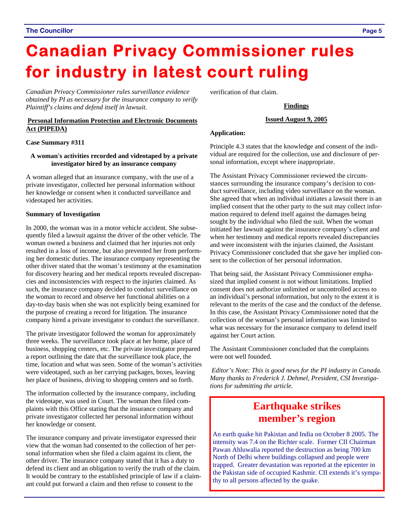# **Canadian Privacy Commissioner rules for industry in latest court ruling**

*Canadian Privacy Commissioner rules surveillance evidence obtained by PI as necessary for the insurance company to verify Plaintiff's claims and defend itself in lawsuit.* 

### **Personal Information Protection and Electronic Documents Act (PIPEDA)**

### **Case Summary #311**

### **A woman's activities recorded and videotaped by a private investigator hired by an insurance company**

A woman alleged that an insurance company, with the use of a private investigator, collected her personal information without her knowledge or consent when it conducted surveillance and videotaped her activities.

### **Summary of Investigation**

In 2000, the woman was in a motor vehicle accident. She subsequently filed a lawsuit against the driver of the other vehicle. The woman owned a business and claimed that her injuries not only resulted in a loss of income, but also prevented her from performing her domestic duties. The insurance company representing the other driver stated that the woman's testimony at the examination for discovery hearing and her medical reports revealed discrepancies and inconsistencies with respect to the injuries claimed. As such, the insurance company decided to conduct surveillance on the woman to record and observe her functional abilities on a day-to-day basis when she was not explicitly being examined for the purpose of creating a record for litigation. The insurance company hired a private investigator to conduct the surveillance.

The private investigator followed the woman for approximately three weeks. The surveillance took place at her home, place of business, shopping centers, etc. The private investigator prepared a report outlining the date that the surveillance took place, the time, location and what was seen. Some of the woman's activities were videotaped, such as her carrying packages, boxes, leaving her place of business, driving to shopping centers and so forth.

The information collected by the insurance company, including the videotape, was used in Court. The woman then filed complaints with this Office stating that the insurance company and private investigator collected her personal information without her knowledge or consent.

The insurance company and private investigator expressed their view that the woman had consented to the collection of her personal information when she filed a claim against its client, the other driver. The insurance company stated that it has a duty to defend its client and an obligation to verify the truth of the claim. It would be contrary to the established principle of law if a claimant could put forward a claim and then refuse to consent to the

verification of that claim.

### **Findings**

### **Issued August 9, 2005**

### **Application:**

Principle 4.3 states that the knowledge and consent of the individual are required for the collection, use and disclosure of personal information, except where inappropriate.

The Assistant Privacy Commissioner reviewed the circumstances surrounding the insurance company's decision to conduct surveillance, including video surveillance on the woman. She agreed that when an individual initiates a lawsuit there is an implied consent that the other party to the suit may collect information required to defend itself against the damages being sought by the individual who filed the suit. When the woman initiated her lawsuit against the insurance company's client and when her testimony and medical reports revealed discrepancies and were inconsistent with the injuries claimed, the Assistant Privacy Commissioner concluded that she gave her implied consent to the collection of her personal information.

That being said, the Assistant Privacy Commissioner emphasized that implied consent is not without limitations. Implied consent does not authorize unlimited or uncontrolled access to an individual's personal information, but only to the extent it is relevant to the merits of the case and the conduct of the defense. In this case, the Assistant Privacy Commissioner noted that the collection of the woman's personal information was limited to what was necessary for the insurance company to defend itself against her Court action.

The Assistant Commissioner concluded that the complaints were not well founded.

*Editor's Note: This is good news for the PI industry in Canada. Many thanks to Frederick J. Dehmel, President, CSI Investigations for submitting the article.* 

### **Earthquake strikes member's region**

An earth quake hit Pakistan and India on October 8 2005. The intensity was 7.4 on the Richter scale. Former CII Chairman Pawan Ahluwalia reported the destruction as being 700 km North of Delhi where buildings collapsed and people were trapped. Greater devastation was reported at the epicenter in the Pakistan side of occupied Kashmir. CII extends it's sympathy to all persons affected by the quake.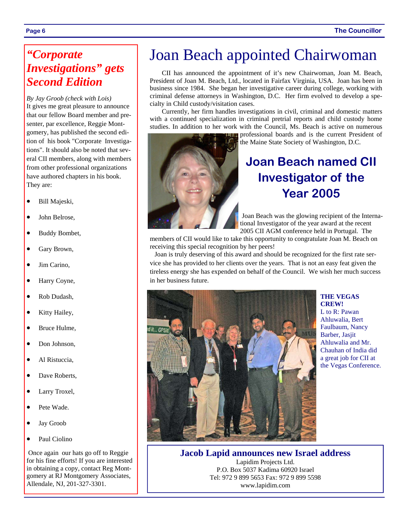### *"Corporate Investigations" gets Second Edition*

*By Jay Groob (check with Lois)*  It gives me great pleasure to announce that our fellow Board member and presenter, par excellence, Reggie Montgomery, has published the second edition of his book "Corporate Investigations". It should also be noted that several CII members, along with members from other professional organizations have authored chapters in his book. They are:

- Bill Majeski,
- John Belrose.
- Buddy Bombet,
- Gary Brown,
- Jim Carino.
- Harry Coyne,
- Rob Dudash,
- Kitty Hailey,
- Bruce Hulme,
- Don Johnson.
- Al Ristuccia.
- Dave Roberts,
- Larry Troxel,
- Pete Wade.
- Jay Groob
- Paul Ciolino

 Once again our hats go off to Reggie for his fine efforts! If you are interested in obtaining a copy, contact Reg Montgomery at RJ Montgomery Associates, Allendale, NJ, 201-327-3301.

## Joan Beach appointed Chairwoman

CII has announced the appointment of it's new Chairwoman, Joan M. Beach, President of Joan M. Beach, Ltd., located in Fairfax Virginia, USA. Joan has been in business since 1984. She began her investigative career during college, working with criminal defense attorneys in Washington, D.C. Her firm evolved to develop a specialty in Child custody/visitation cases.

Currently, her firm handles investigations in civil, criminal and domestic matters with a continued specialization in criminal pretrial reports and child custody home studies. In addition to her work with the Council, Ms. Beach is active on numerous

> professional boards and is the current President of the Maine State Society of Washington, D.C.

### **Joan Beach named CII Investigator of the Year 2005**

Joan Beach was the glowing recipient of the International Investigator of the year award at the recent 2005 CII AGM conference held in Portugal. The

members of CII would like to take this opportunity to congratulate Joan M. Beach on receiving this special recognition by her peers!

Joan is truly deserving of this award and should be recognized for the first rate service she has provided to her clients over the years. That is not an easy feat given the tireless energy she has expended on behalf of the Council. We wish her much success in her business future.



### **THE VEGAS CREW!**

L to R: Pawan Ahluwalia, Bert Faulbaum, Nancy Barber, Jasjit Ahluwalia and Mr. Chauhan of India did a great job for CII at the Vegas Conference.

**Jacob Lapid announces new Israel address**  Lapidim Projects Ltd. P.O. Box 5037 Kadima 60920 Israel Tel: 972 9 899 5653 Fax: 972 9 899 5598 www.lapidim.com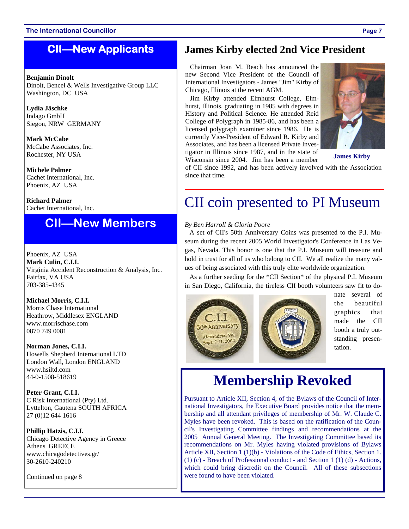### **CII—New Applicants**

### **Benjamin Dinolt**

Dinolt, Bencel & Wells Investigative Group LLC Washington, DC USA

**Lydia Jäschke**  Indago GmbH Siegon, NRW GERMANY

**Mark McCabe**  McCabe Associates, Inc. Rochester, NY USA

**Michele Palmer**  Cachet International, Inc. Phoenix, AZ USA

**Richard Palmer**  Cachet International, Inc.

### **CII—New Members**

Phoenix, AZ USA **Mark Culin, C.I.I.**  Virginia Accident Reconstruction & Analysis, Inc. Fairfax, VA USA 703-385-4345

**Michael Morris, C.I.I.**  Morris Chase International Heathrow, Middlesex ENGLAND www.morrischase.com 0870 749 0081

**Norman Jones, C.I.I.**  Howells Shepherd International LTD London Wall, London ENGLAND www.hsiltd.com 44-0-1508-518619

**Peter Grant, C.I.I.**  C Risk International (Pty) Ltd. Lyttelton, Gautena SOUTH AFRICA 27 (0)12 644 1616

**Phillip Hatzis, C.I.I.**  Chicago Detective Agency in Greece Athens GREECE www.chicagodetectives.gr/ 30-2610-240210

Continued on page 8

### **James Kirby elected 2nd Vice President**

Chairman Joan M. Beach has announced the new Second Vice President of the Council of International Investigators - James "Jim" Kirby of Chicago, Illinois at the recent AGM.

Jim Kirby attended Elmhurst College, Elmhurst, Illinois, graduating in 1985 with degrees in History and Political Science. He attended Reid College of Polygraph in 1985-86, and has been a licensed polygraph examiner since 1986. He is currently Vice-President of Edward R. Kirby and Associates, and has been a licensed Private Investigator in Illinois since 1987, and in the state of Wisconsin since 2004. Jim has been a member



**James Kirby** 

of CII since 1992, and has been actively involved with the Association since that time.

## CII coin presented to PI Museum

### *By Ben Harroll & Gloria Poore*

A set of CII's 50th Anniversary Coins was presented to the P.I. Museum during the recent 2005 World Investigator's Conference in Las Vegas, Nevada. This honor is one that the P.I. Museum will treasure and hold in trust for all of us who belong to CII. We all realize the many values of being associated with this truly elite worldwide organization.

As a further seeding for the \*CII Section\* of the physical P.I. Museum in San Diego, California, the tireless CII booth volunteers saw fit to do-



nate several of the beautiful graphics that made the CII booth a truly outstanding presentation.

## **Membership Revoked**

Pursuant to Article XII, Section 4, of the Bylaws of the Council of International Investigators, the Executive Board provides notice that the membership and all attendant privileges of membership of Mr. W. Claude C. Myles have been revoked. This is based on the ratification of the Council's Investigating Committee findings and recommendations at the 2005 Annual General Meeting. The Investigating Committee based its recommendations on Mr. Myles having violated provisions of Bylaws Article XII, Section 1 (1)(b) - Violations of the Code of Ethics, Section 1. (1) (c) - Breach of Professional conduct - and Section 1 (1) (d) - Actions, which could bring discredit on the Council. All of these subsections were found to have been violated.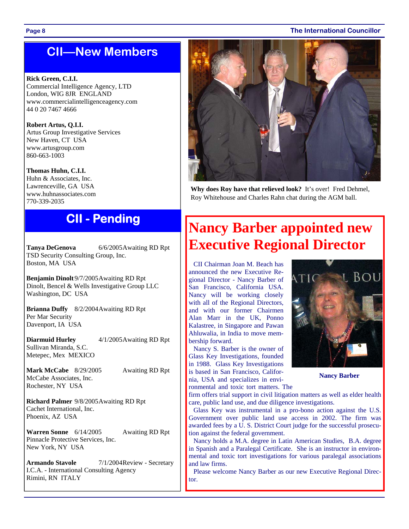#### **Page 8 The International Councillor**

### **CII—New Members**

### **Rick Green, C.I.I.**

Commercial Intelligence Agency, LTD London, WIG 8JR ENGLAND www.commercialintelligenceagency.com 44 0 20 7467 4666

**Robert Artus, Q.I.I.**  Artus Group Investigative Services New Haven, CT USA www.artusgroup.com 860-663-1003

**Thomas Huhn, C.I.I.**  Huhn & Associates, Inc. Lawrenceville, GA USA www.huhnassociates.com 770-339-2035

**Tanya DeGenova** 6/6/2005Awaiting RD Rpt TSD Security Consulting Group, Inc. Boston, MA USA

**Benjamin Dinolt**9/7/2005Awaiting RD Rpt Dinolt, Bencel & Wells Investigative Group LLC Washington, DC USA

**Brianna Duffy** 8/2/2004Awaiting RD Rpt Per Mar Security Davenport, IA USA

**Diarmuid Hurley** 4/1/2005 Awaiting RD Rpt Sullivan Miranda, S.C. Metepec, Mex MEXICO

**Mark McCabe** 8/29/2005 Awaiting RD Rpt McCabe Associates, Inc. Rochester, NY USA

**Richard Palmer** 9/8/2005Awaiting RD Rpt Cachet International, Inc. Phoenix, AZ USA

**Warren Sonne** 6/14/2005 Awaiting RD Rpt Pinnacle Protective Services, Inc. New York, NY USA

**Armando Stavole** 7/1/2004Review - Secretary I.C.A. - International Consulting Agency Rimini, RN ITALY



**Why does Roy have that relieved look?** It's over! Fred Dehmel, Roy Whitehouse and Charles Rahn chat during the AGM ball.

# **CII - Pending 19 Nancy Barber appointed new Property CII Executive Regional Director**

CII Chairman Joan M. Beach has announced the new Executive Regional Director - Nancy Barber of San Francisco, California USA. Nancy will be working closely with all of the Regional Directors, and with our former Chairmen Alan Marr in the UK, Ponno Kalastree, in Singapore and Pawan Ahluwalia, in India to move membership forward.

Nancy S. Barber is the owner of Glass Key Investigations, founded in 1988. Glass Key Investigations is based in San Francisco, California, USA and specializes in environmental and toxic tort matters. The



**Nancy Barber** 

firm offers trial support in civil litigation matters as well as elder health care, public land use, and due diligence investigations.

Glass Key was instrumental in a pro-bono action against the U.S. Government over public land use access in 2002. The firm was awarded fees by a U. S. District Court judge for the successful prosecution against the federal government.

Nancy holds a M.A. degree in Latin American Studies, B.A. degree in Spanish and a Paralegal Certificate. She is an instructor in environmental and toxic tort investigations for various paralegal associations and law firms.

Please welcome Nancy Barber as our new Executive Regional Director.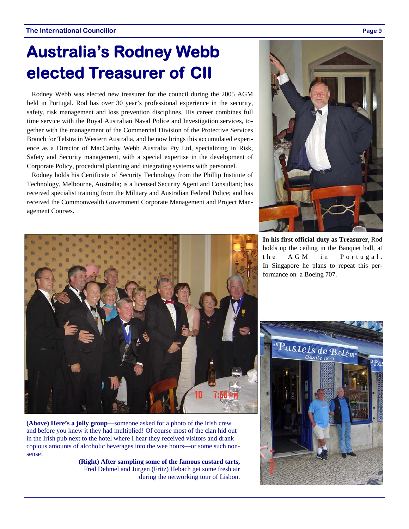## **Australia's Rodney Webb elected Treasurer of CII**

Rodney Webb was elected new treasurer for the council during the 2005 AGM held in Portugal. Rod has over 30 year's professional experience in the security, safety, risk management and loss prevention disciplines. His career combines full time service with the Royal Australian Naval Police and Investigation services, together with the management of the Commercial Division of the Protective Services Branch for Telstra in Western Australia, and he now brings this accumulated experience as a Director of MacCarthy Webb Australia Pty Ltd, specializing in Risk, Safety and Security management, with a special expertise in the development of Corporate Policy, procedural planning and integrating systems with personnel.

Rodney holds his Certificate of Security Technology from the Phillip Institute of Technology, Melbourne, Australia; is a licensed Security Agent and Consultant; has received specialist training from the Military and Australian Federal Police; and has received the Commonwealth Government Corporate Management and Project Management Courses.



**In his first official duty as Treasurer**, Rod holds up the ceiling in the Banquet hall, at the AGM in Portugal. In Singapore he plans to repeat this performance on a Boeing 707.



and before you knew it they had multiplied! Of course most of the clan hid out in the Irish pub next to the hotel where I hear they received visitors and drank copious amounts of alcoholic beverages into the wee hours—or some such nonsense!

**(Right) After sampling some of the famous custard tarts,**  Fred Dehmel and Jurgen (Fritz) Hebach get some fresh air during the networking tour of Lisbon.

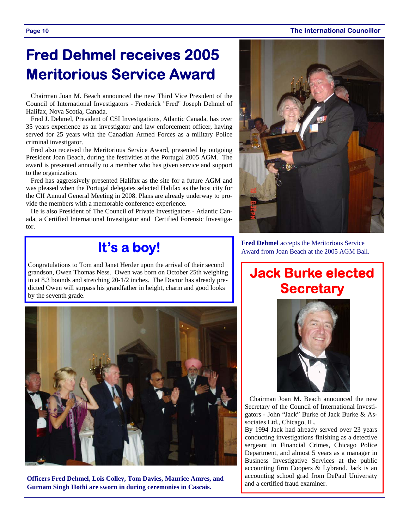#### **Page 10 The International Councillor**

## **Fred Dehmel receives 2005 Meritorious Service Award**

Chairman Joan M. Beach announced the new Third Vice President of the Council of International Investigators - Frederick "Fred" Joseph Dehmel of Halifax, Nova Scotia, Canada.

Fred J. Dehmel, President of CSI Investigations, Atlantic Canada, has over 35 years experience as an investigator and law enforcement officer, having served for 25 years with the Canadian Armed Forces as a military Police criminal investigator.

Fred also received the Meritorious Service Award, presented by outgoing President Joan Beach, during the festivities at the Portugal 2005 AGM. The award is presented annually to a member who has given service and support to the organization.

Fred has aggressively presented Halifax as the site for a future AGM and was pleased when the Portugal delegates selected Halifax as the host city for the CII Annual General Meeting in 2008. Plans are already underway to provide the members with a memorable conference experience.

He is also President of The Council of Private Investigators - Atlantic Canada, a Certified International Investigator and Certified Forensic Investigator.

## **It's a boy!**

Congratulations to Tom and Janet Herder upon the arrival of their second grandson, Owen Thomas Ness. Owen was born on October 25th weighing in at 8.3 bounds and stretching 20-1/2 inches. The Doctor has already predicted Owen will surpass his grandfather in height, charm and good looks by the seventh grade.



**Officers Fred Dehmel, Lois Colley, Tom Davies, Maurice Amres, and Gurnam Singh Hothi are sworn in during ceremonies in Cascais.**



**Fred Dehmel** accepts the Meritorious Service Award from Joan Beach at the 2005 AGM Ball.

## **Jack Burke elected Secretary**



Chairman Joan M. Beach announced the new Secretary of the Council of International Investigators - John "Jack" Burke of Jack Burke & Associates Ltd., Chicago, IL.

By 1994 Jack had already served over 23 years conducting investigations finishing as a detective sergeant in Financial Crimes, Chicago Police Department, and almost 5 years as a manager in Business Investigative Services at the public accounting firm Coopers & Lybrand. Jack is an accounting school grad from DePaul University